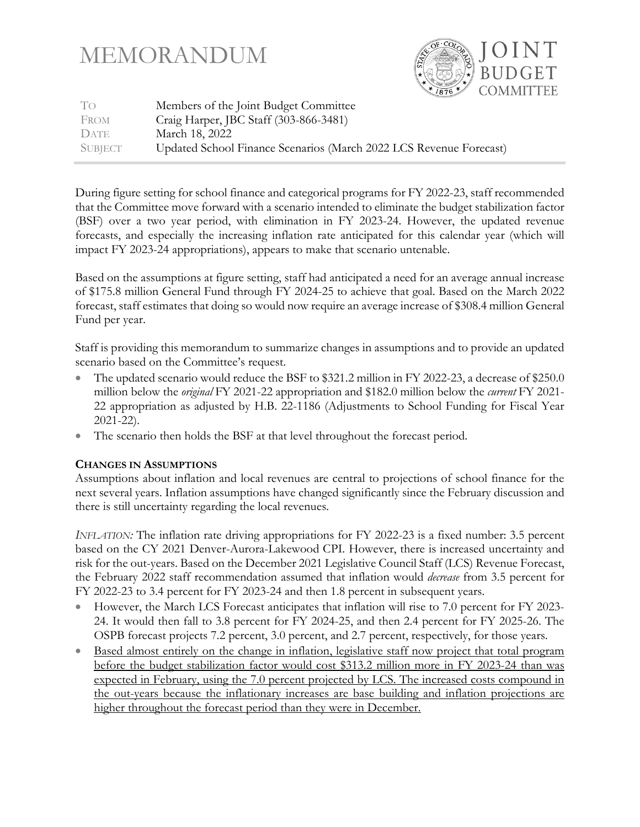# MEMORANDUM



| To          | Members of the Joint Budget Committee                              |
|-------------|--------------------------------------------------------------------|
| FROM        | Craig Harper, JBC Staff (303-866-3481)                             |
| <b>DATE</b> | March 18, 2022                                                     |
| SUBJECT     | Updated School Finance Scenarios (March 2022 LCS Revenue Forecast) |

During figure setting for school finance and categorical programs for FY 2022-23, staff recommended that the Committee move forward with a scenario intended to eliminate the budget stabilization factor (BSF) over a two year period, with elimination in FY 2023-24. However, the updated revenue forecasts, and especially the increasing inflation rate anticipated for this calendar year (which will impact FY 2023-24 appropriations), appears to make that scenario untenable.

Based on the assumptions at figure setting, staff had anticipated a need for an average annual increase of \$175.8 million General Fund through FY 2024-25 to achieve that goal. Based on the March 2022 forecast, staff estimates that doing so would now require an average increase of \$308.4 million General Fund per year.

Staff is providing this memorandum to summarize changes in assumptions and to provide an updated scenario based on the Committee's request.

- The updated scenario would reduce the BSF to \$321.2 million in FY 2022-23, a decrease of \$250.0 million below the *original* FY 2021-22 appropriation and \$182.0 million below the *current* FY 2021- 22 appropriation as adjusted by H.B. 22-1186 (Adjustments to School Funding for Fiscal Year 2021-22).
- The scenario then holds the BSF at that level throughout the forecast period.

# **CHANGES IN ASSUMPTIONS**

Assumptions about inflation and local revenues are central to projections of school finance for the next several years. Inflation assumptions have changed significantly since the February discussion and there is still uncertainty regarding the local revenues.

*INFLATION:* The inflation rate driving appropriations for FY 2022-23 is a fixed number: 3.5 percent based on the CY 2021 Denver-Aurora-Lakewood CPI. However, there is increased uncertainty and risk for the out-years. Based on the December 2021 Legislative Council Staff (LCS) Revenue Forecast, the February 2022 staff recommendation assumed that inflation would *decrease* from 3.5 percent for FY 2022-23 to 3.4 percent for FY 2023-24 and then 1.8 percent in subsequent years.

- However, the March LCS Forecast anticipates that inflation will rise to 7.0 percent for FY 2023- 24. It would then fall to 3.8 percent for FY 2024-25, and then 2.4 percent for FY 2025-26. The OSPB forecast projects 7.2 percent, 3.0 percent, and 2.7 percent, respectively, for those years.
- Based almost entirely on the change in inflation, legislative staff now project that total program before the budget stabilization factor would cost \$313.2 million more in FY 2023-24 than was expected in February, using the 7.0 percent projected by LCS. The increased costs compound in the out-years because the inflationary increases are base building and inflation projections are higher throughout the forecast period than they were in December.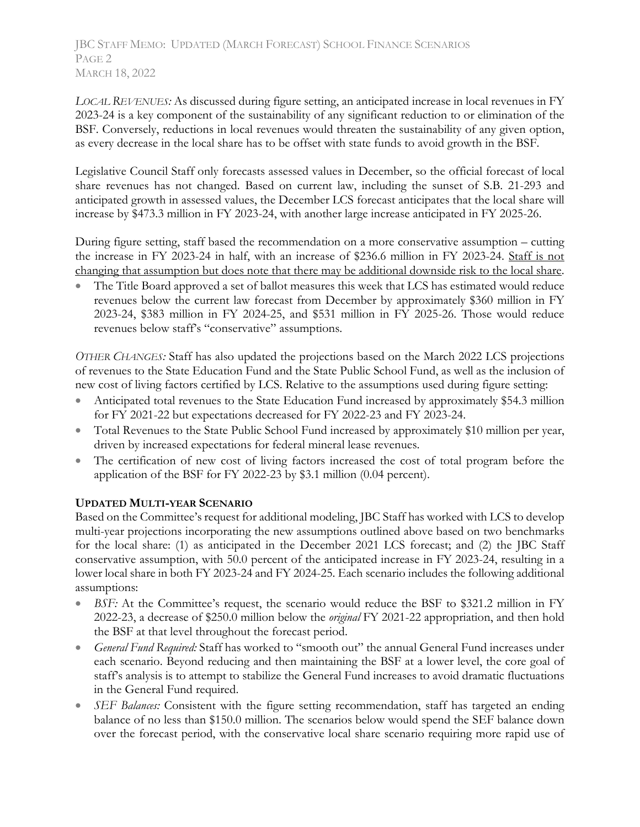JBC STAFF MEMO: UPDATED (MARCH FORECAST) SCHOOL FINANCE SCENARIOS PAGE<sub>2</sub> MARCH 18, 2022

*LOCAL REVENUES:* As discussed during figure setting, an anticipated increase in local revenues in FY 2023-24 is a key component of the sustainability of any significant reduction to or elimination of the BSF. Conversely, reductions in local revenues would threaten the sustainability of any given option, as every decrease in the local share has to be offset with state funds to avoid growth in the BSF.

Legislative Council Staff only forecasts assessed values in December, so the official forecast of local share revenues has not changed. Based on current law, including the sunset of S.B. 21-293 and anticipated growth in assessed values, the December LCS forecast anticipates that the local share will increase by \$473.3 million in FY 2023-24, with another large increase anticipated in FY 2025-26.

During figure setting, staff based the recommendation on a more conservative assumption – cutting the increase in FY 2023-24 in half, with an increase of \$236.6 million in FY 2023-24. Staff is not changing that assumption but does note that there may be additional downside risk to the local share.

• The Title Board approved a set of ballot measures this week that LCS has estimated would reduce revenues below the current law forecast from December by approximately \$360 million in FY 2023-24, \$383 million in FY 2024-25, and \$531 million in FY 2025-26. Those would reduce revenues below staff's "conservative" assumptions.

*OTHER CHANGES:* Staff has also updated the projections based on the March 2022 LCS projections of revenues to the State Education Fund and the State Public School Fund, as well as the inclusion of new cost of living factors certified by LCS. Relative to the assumptions used during figure setting:

- Anticipated total revenues to the State Education Fund increased by approximately \$54.3 million for FY 2021-22 but expectations decreased for FY 2022-23 and FY 2023-24.
- Total Revenues to the State Public School Fund increased by approximately \$10 million per year, driven by increased expectations for federal mineral lease revenues.
- The certification of new cost of living factors increased the cost of total program before the application of the BSF for FY 2022-23 by \$3.1 million (0.04 percent).

# **UPDATED MULTI-YEAR SCENARIO**

Based on the Committee's request for additional modeling, JBC Staff has worked with LCS to develop multi-year projections incorporating the new assumptions outlined above based on two benchmarks for the local share: (1) as anticipated in the December 2021 LCS forecast; and (2) the JBC Staff conservative assumption, with 50.0 percent of the anticipated increase in FY 2023-24, resulting in a lower local share in both FY 2023-24 and FY 2024-25. Each scenario includes the following additional assumptions:

- *BSF:* At the Committee's request, the scenario would reduce the BSF to \$321.2 million in FY 2022-23, a decrease of \$250.0 million below the *original* FY 2021-22 appropriation, and then hold the BSF at that level throughout the forecast period.
- *General Fund Required:* Staff has worked to "smooth out" the annual General Fund increases under each scenario. Beyond reducing and then maintaining the BSF at a lower level, the core goal of staff's analysis is to attempt to stabilize the General Fund increases to avoid dramatic fluctuations in the General Fund required.
- *SEF Balances:* Consistent with the figure setting recommendation, staff has targeted an ending balance of no less than \$150.0 million. The scenarios below would spend the SEF balance down over the forecast period, with the conservative local share scenario requiring more rapid use of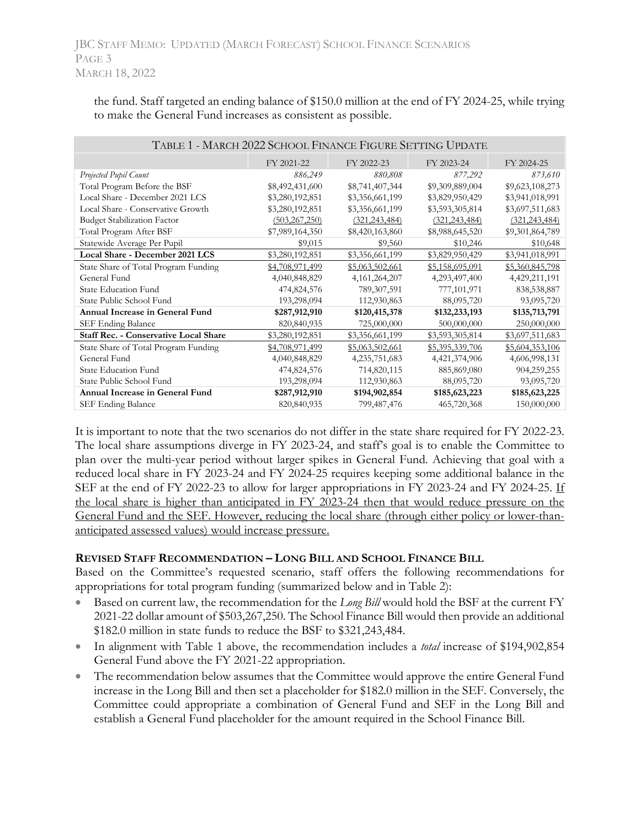the fund. Staff targeted an ending balance of \$150.0 million at the end of FY 2024-25, while trying to make the General Fund increases as consistent as possible.

| TABLE 1 - MARCH 2022 SCHOOL FINANCE FIGURE SETTING UPDATE |                 |                  |                 |                 |  |  |  |  |
|-----------------------------------------------------------|-----------------|------------------|-----------------|-----------------|--|--|--|--|
|                                                           | FY 2021-22      | FY 2022-23       | FY 2023-24      | FY 2024-25      |  |  |  |  |
| Projected Pupil Count                                     | 886,249         | 880,808          | 877,292         | 873,610         |  |  |  |  |
| Total Program Before the BSF                              | \$8,492,431,600 | \$8,741,407,344  | \$9,309,889,004 | \$9,623,108,273 |  |  |  |  |
| Local Share - December 2021 LCS                           | \$3,280,192,851 | \$3,356,661,199  | \$3,829,950,429 | \$3,941,018,991 |  |  |  |  |
| Local Share - Conservative Growth                         | \$3,280,192,851 | \$3,356,661,199  | \$3,593,305,814 | \$3,697,511,683 |  |  |  |  |
| <b>Budget Stabilization Factor</b>                        | (503, 267, 250) | (321, 243, 484)  | (321, 243, 484) | (321, 243, 484) |  |  |  |  |
| Total Program After BSF                                   | \$7,989,164,350 | \$8,420,163,860  | \$8,988,645,520 | \$9,301,864,789 |  |  |  |  |
| Statewide Average Per Pupil                               | \$9,015         | \$9,560          | \$10,246        | \$10,648        |  |  |  |  |
| Local Share - December 2021 LCS                           | \$3,280,192,851 | \$3,356,661,199  | \$3,829,950,429 | \$3,941,018,991 |  |  |  |  |
| State Share of Total Program Funding                      | \$4,708,971,499 | \$5,063,502,661  | \$5,158,695,091 | \$5,360,845,798 |  |  |  |  |
| General Fund                                              | 4,040,848,829   | 4, 161, 264, 207 | 4,293,497,400   | 4,429,211,191   |  |  |  |  |
| <b>State Education Fund</b>                               | 474,824,576     | 789, 307, 591    | 777,101,971     | 838,538,887     |  |  |  |  |
| State Public School Fund                                  | 193,298,094     | 112,930,863      | 88,095,720      | 93,095,720      |  |  |  |  |
| Annual Increase in General Fund                           | \$287,912,910   | \$120,415,378    | \$132,233,193   | \$135,713,791   |  |  |  |  |
| SEF Ending Balance                                        | 820, 840, 935   | 725,000,000      | 500,000,000     | 250,000,000     |  |  |  |  |
| <b>Staff Rec. - Conservative Local Share</b>              | \$3,280,192,851 | \$3,356,661,199  | \$3,593,305,814 | \$3,697,511,683 |  |  |  |  |
| State Share of Total Program Funding                      | \$4,708,971,499 | \$5,063,502,661  | \$5,395,339,706 | \$5,604,353,106 |  |  |  |  |
| General Fund                                              | 4,040,848,829   | 4,235,751,683    | 4,421,374,906   | 4,606,998,131   |  |  |  |  |
| <b>State Education Fund</b>                               | 474,824,576     | 714,820,115      | 885,869,080     | 904,259,255     |  |  |  |  |
| State Public School Fund                                  | 193,298,094     | 112,930,863      | 88,095,720      | 93,095,720      |  |  |  |  |
| Annual Increase in General Fund                           | \$287,912,910   | \$194,902,854    | \$185,623,223   | \$185,623,225   |  |  |  |  |
| SEF Ending Balance                                        | 820, 840, 935   | 799,487,476      | 465,720,368     | 150,000,000     |  |  |  |  |

It is important to note that the two scenarios do not differ in the state share required for FY 2022-23. The local share assumptions diverge in FY 2023-24, and staff's goal is to enable the Committee to plan over the multi-year period without larger spikes in General Fund. Achieving that goal with a reduced local share in FY 2023-24 and FY 2024-25 requires keeping some additional balance in the SEF at the end of FY 2022-23 to allow for larger appropriations in FY 2023-24 and FY 2024-25. If the local share is higher than anticipated in FY 2023-24 then that would reduce pressure on the General Fund and the SEF. However, reducing the local share (through either policy or lower-thananticipated assessed values) would increase pressure.

## **REVISED STAFF RECOMMENDATION – LONG BILL AND SCHOOL FINANCE BILL**

Based on the Committee's requested scenario, staff offers the following recommendations for appropriations for total program funding (summarized below and in Table 2):

- Based on current law, the recommendation for the *Long Bill* would hold the BSF at the current FY 2021-22 dollar amount of \$503,267,250. The School Finance Bill would then provide an additional \$182.0 million in state funds to reduce the BSF to \$321,243,484.
- In alignment with Table 1 above, the recommendation includes a *total* increase of \$194,902,854 General Fund above the FY 2021-22 appropriation.
- The recommendation below assumes that the Committee would approve the entire General Fund increase in the Long Bill and then set a placeholder for \$182.0 million in the SEF. Conversely, the Committee could appropriate a combination of General Fund and SEF in the Long Bill and establish a General Fund placeholder for the amount required in the School Finance Bill.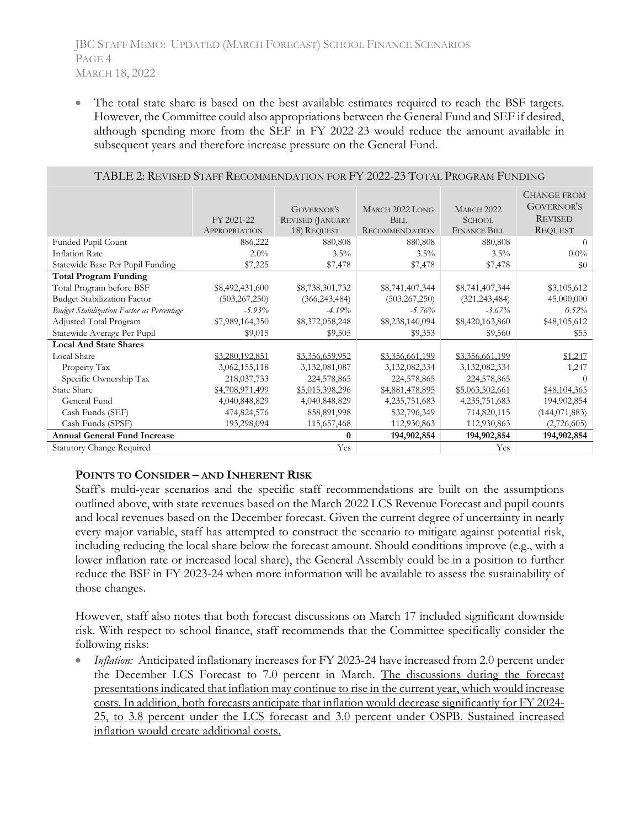The total state share is based on the best available estimates required to reach the BSF targets. However, the Committee could also appropriations between the General Fund and SEF if desired, although spending more from the SEF in FY 2022-23 would reduce the amount available in subsequent years and therefore increase pressure on the General Fund.

| TABLE 2: REVISED STAFF RECOMMENDATION FOR FY 2022-23 TOTAL PROGRAM FUNDING |                                    |                                                             |                                                         |                                                           |                                                                             |  |  |  |
|----------------------------------------------------------------------------|------------------------------------|-------------------------------------------------------------|---------------------------------------------------------|-----------------------------------------------------------|-----------------------------------------------------------------------------|--|--|--|
|                                                                            | FY 2021-22<br><b>APPROPRIATION</b> | <b>GOVERNOR'S</b><br><b>REVISED (JANUARY</b><br>18) REQUEST | MARCH 2022 LONG<br><b>BILL</b><br><b>RECOMMENDATION</b> | <b>MARCH 2022</b><br><b>SCHOOL</b><br><b>FINANCE BILL</b> | <b>CHANGE FROM</b><br><b>GOVERNOR'S</b><br><b>REVISED</b><br><b>REQUEST</b> |  |  |  |
| Funded Pupil Count                                                         | 886,222                            | 880,808                                                     | 880,808                                                 | 880,808                                                   | $\Omega$                                                                    |  |  |  |
| Inflation Rate                                                             | $2.0\%$                            | $3.5\%$                                                     | $3.5\%$                                                 | $3.5\%$                                                   | $0.0\%$                                                                     |  |  |  |
| Statewide Base Per Pupil Funding                                           | \$7,225                            | \$7,478                                                     | \$7,478                                                 | \$7,478                                                   | \$0                                                                         |  |  |  |
| <b>Total Program Funding</b>                                               |                                    |                                                             |                                                         |                                                           |                                                                             |  |  |  |
| Total Program before BSF                                                   | \$8,492,431,600                    | \$8,738,301,732                                             | \$8,741,407,344                                         | \$8,741,407,344                                           | \$3,105,612                                                                 |  |  |  |
| <b>Budget Stabilization Factor</b>                                         | (503, 267, 250)                    | (366, 243, 484)                                             | (503, 267, 250)                                         | (321, 243, 484)                                           | 45,000,000                                                                  |  |  |  |
| <b>Budget Stabilization Factor as Percentage</b>                           | $-5.93\%$                          | $-4.19%$                                                    | $-5.76%$                                                | $-3.67\%$                                                 | $0.52\%$                                                                    |  |  |  |
| Adjusted Total Program                                                     | \$7,989,164,350                    | \$8,372,058,248                                             | \$8,238,140,094                                         | \$8,420,163,860                                           | \$48,105,612                                                                |  |  |  |
| Statewide Average Per Pupil                                                | \$9,015                            | \$9,505                                                     | \$9,353                                                 | \$9,560                                                   | \$55                                                                        |  |  |  |
| <b>Local And State Shares</b>                                              |                                    |                                                             |                                                         |                                                           |                                                                             |  |  |  |
| Local Share                                                                | \$3,280,192,851                    | \$3,356,659,952                                             | \$3,356,661,199                                         | \$3,356,661,199                                           | \$1,247                                                                     |  |  |  |
| Property Tax                                                               | 3,062,155,118                      | 3,132,081,087                                               | 3,132,082,334                                           | 3,132,082,334                                             | 1,247                                                                       |  |  |  |
| Specific Ownership Tax                                                     | 218,037,733                        | 224,578,865                                                 | 224,578,865                                             | 224,578,865                                               |                                                                             |  |  |  |
| <b>State Share</b>                                                         | \$4,708,971,499                    | \$5,015,398,296                                             | \$4,881,478,895                                         | \$5,063,502,661                                           | \$48,104,365                                                                |  |  |  |
| General Fund                                                               | 4,040,848,829                      | 4,040,848,829                                               | 4,235,751,683                                           | 4,235,751,683                                             | 194,902,854                                                                 |  |  |  |
| Cash Funds (SEF)                                                           | 474,824,576                        | 858,891,998                                                 | 532,796,349                                             | 714,820,115                                               | (144, 071, 883)                                                             |  |  |  |
| Cash Funds (SPSF)                                                          | 193,298,094                        | 115,657,468                                                 | 112,930,863                                             | 112,930,863                                               | (2,726,605)                                                                 |  |  |  |
| <b>Annual General Fund Increase</b>                                        | 194,902,854                        | 194,902,854                                                 | 194,902,854                                             |                                                           |                                                                             |  |  |  |
| <b>Statutory Change Required</b>                                           |                                    | Yes                                                         |                                                         | Yes                                                       |                                                                             |  |  |  |

#### TABLE 2: REVISED STAFF RECOMMENDATION FOR FY 2022-23 TOTAL PROGRAM FUNDING

### **POINTS TO CONSIDER – AND INHERENT RISK**

Staff's multi-year scenarios and the specific staff recommendations are built on the assumptions outlined above, with state revenues based on the March 2022 LCS Revenue Forecast and pupil counts and local revenues based on the December forecast. Given the current degree of uncertainty in nearly every major variable, staff has attempted to construct the scenario to mitigate against potential risk, including reducing the local share below the forecast amount. Should conditions improve (e.g., with a lower inflation rate or increased local share), the General Assembly could be in a position to further reduce the BSF in FY 2023-24 when more information will be available to assess the sustainability of those changes.

However, staff also notes that both forecast discussions on March 17 included significant downside risk. With respect to school finance, staff recommends that the Committee specifically consider the following risks:

*Inflation:* Anticipated inflationary increases for FY 2023-24 have increased from 2.0 percent under the December LCS Forecast to 7.0 percent in March. The discussions during the forecast presentations indicated that inflation may continue to rise in the current year, which would increase costs. In addition, both forecasts anticipate that inflation would decrease significantly for FY 2024- 25, to 3.8 percent under the LCS forecast and 3.0 percent under OSPB. Sustained increased inflation would create additional costs.